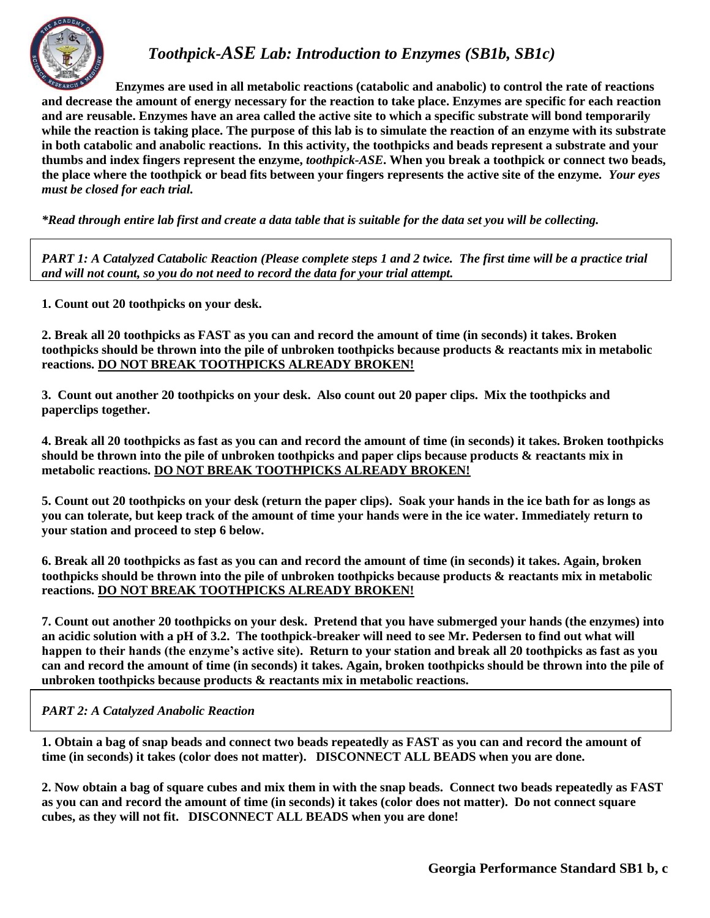

## *Toothpick-ASE Lab: Introduction to Enzymes (SB1b, SB1c)*

**Enzymes are used in all metabolic reactions (catabolic and anabolic) to control the rate of reactions and decrease the amount of energy necessary for the reaction to take place. Enzymes are specific for each reaction and are reusable. Enzymes have an area called the active site to which a specific substrate will bond temporarily while the reaction is taking place. The purpose of this lab is to simulate the reaction of an enzyme with its substrate in both catabolic and anabolic reactions. In this activity, the toothpicks and beads represent a substrate and your thumbs and index fingers represent the enzyme,** *toothpick-ASE***. When you break a toothpick or connect two beads, the place where the toothpick or bead fits between your fingers represents the active site of the enzyme***. Your eyes must be closed for each trial.*

*\*Read through entire lab first and create a data table that is suitable for the data set you will be collecting.*

*PART 1: A Catalyzed Catabolic Reaction (Please complete steps 1 and 2 twice. The first time will be a practice trial and will not count, so you do not need to record the data for your trial attempt.*

**1. Count out 20 toothpicks on your desk.**

**2. Break all 20 toothpicks as FAST as you can and record the amount of time (in seconds) it takes. Broken toothpicks should be thrown into the pile of unbroken toothpicks because products & reactants mix in metabolic reactions. DO NOT BREAK TOOTHPICKS ALREADY BROKEN!**

**3. Count out another 20 toothpicks on your desk. Also count out 20 paper clips. Mix the toothpicks and paperclips together.**

**4. Break all 20 toothpicks as fast as you can and record the amount of time (in seconds) it takes. Broken toothpicks should be thrown into the pile of unbroken toothpicks and paper clips because products & reactants mix in metabolic reactions. DO NOT BREAK TOOTHPICKS ALREADY BROKEN!**

**5. Count out 20 toothpicks on your desk (return the paper clips). Soak your hands in the ice bath for as longs as you can tolerate, but keep track of the amount of time your hands were in the ice water. Immediately return to your station and proceed to step 6 below.**

**6. Break all 20 toothpicks as fast as you can and record the amount of time (in seconds) it takes. Again, broken toothpicks should be thrown into the pile of unbroken toothpicks because products & reactants mix in metabolic reactions. DO NOT BREAK TOOTHPICKS ALREADY BROKEN!**

**7. Count out another 20 toothpicks on your desk. Pretend that you have submerged your hands (the enzymes) into an acidic solution with a pH of 3.2. The toothpick-breaker will need to see Mr. Pedersen to find out what will happen to their hands (the enzyme's active site). Return to your station and break all 20 toothpicks as fast as you can and record the amount of time (in seconds) it takes. Again, broken toothpicks should be thrown into the pile of unbroken toothpicks because products & reactants mix in metabolic reactions.**

*PART 2: A Catalyzed Anabolic Reaction*

**1. Obtain a bag of snap beads and connect two beads repeatedly as FAST as you can and record the amount of time (in seconds) it takes (color does not matter). DISCONNECT ALL BEADS when you are done.**

**2. Now obtain a bag of square cubes and mix them in with the snap beads. Connect two beads repeatedly as FAST as you can and record the amount of time (in seconds) it takes (color does not matter). Do not connect square cubes, as they will not fit. DISCONNECT ALL BEADS when you are done!**